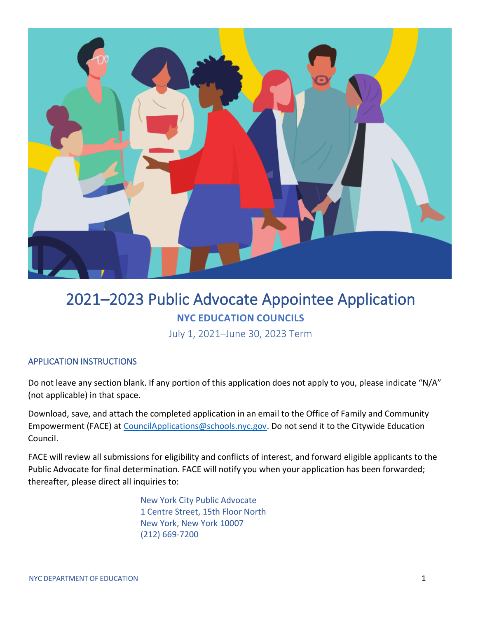

# 2021–2023 Public Advocate Appointee Application **NYC EDUCATION COUNCILS**

July 1, 2021–June 30, 2023 Term

## APPLICATION INSTRUCTIONS

Do not leave any section blank. If any portion of this application does not apply to you, please indicate "N/A" (not applicable) in that space.

Download, save, and attach the completed application in an email to the Office of Family and Community Empowerment (FACE) at [CouncilApplications@schools.nyc.gov.](mailto:CouncilApplications@schools.nyc.gov) Do not send it to the Citywide Education Council.

FACE will review all submissions for eligibility and conflicts of interest, and forward eligible applicants to the Public Advocate for final determination. FACE will notify you when your application has been forwarded; thereafter, please direct all inquiries to:

> New York City Public Advocate 1 Centre Street, 15th Floor North New York, New York 10007 (212) 669-7200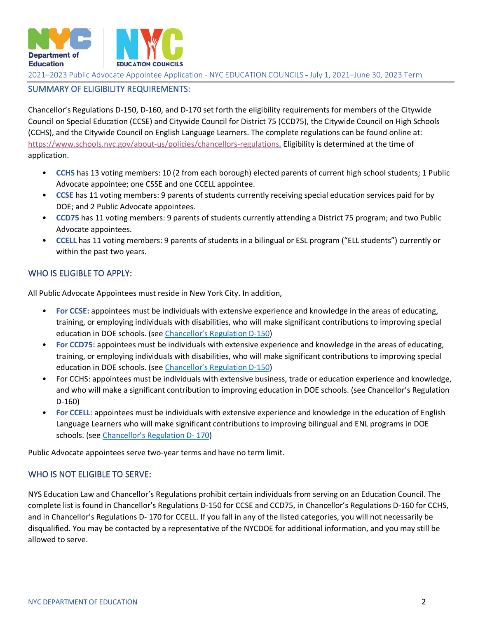

## SUMMARY OF ELIGIBILITY REQUIREMENTS:

Chancellor's Regulations D-150, D-160, and D-170 set forth the eligibility requirements for members of the Citywide Council on Special Education (CCSE) and Citywide Council for District 75 (CCD75), the Citywide Council on High Schools (CCHS), and the Citywide Council on English Language Learners. The complete regulations can be found online at: [https://www.schools.nyc.gov/about-us/policies/chancellors-regulations.](https://www.schools.nyc.gov/about-us/policies/chancellors-regulations) Eligibility is determined at the time of application.

- **CCHS** has 13 voting members: 10 (2 from each borough) elected parents of current high school students; 1 Public Advocate appointee; one CSSE and one CCELL appointee.
- **CCSE** has 11 voting members: 9 parents of students currently receiving special education services paid for by DOE; and 2 Public Advocate appointees.
- **CCD75** has 11 voting members: 9 parents of students currently attending a District 75 program; and two Public Advocate appointees.
- **CCELL** has 11 voting members: 9 parents of students in a bilingual or ESL program ("ELL students") currently or within the past two years.

## WHO IS ELIGIBLE TO APPLY:

All Public Advocate Appointees must reside in New York City. In addition,

- **For CCSE:** appointees must be individuals with extensive experience and knowledge in the areas of educating, training, or employing individuals with disabilities, who will make significant contributions to improving special education in DOE schools. (see [Chancellor's Regulation D](https://www.schools.nyc.gov/about-us/policies/chancellors-regulations/volume-d-regulations)-150)
- **For CCD75:** appointees must be individuals with extensive experience and knowledge in the areas of educating, training, or employing individuals with disabilities, who will make significant contributions to improving special education in DOE schools. (see [Chancellor's Regulation D](https://www.schools.nyc.gov/about-us/policies/chancellors-regulations/volume-d-regulations)-150)
- For CCHS: appointees must be individuals with extensive business, trade or education experience and knowledge, and who will make a significant contribution to improving education in DOE schools. (see Chancellor's Regulation D-160)
- **For CCELL**: appointees must be individuals with extensive experience and knowledge in the education of English Language Learners who will make significant contributions to improving bilingual and ENL programs in DOE schools. (see [Chancellor's Regulation D](https://www.schools.nyc.gov/about-us/policies/chancellors-regulations/volume-d-regulations)- 170)

Public Advocate appointees serve two-year terms and have no term limit.

#### WHO IS NOT ELIGIBLE TO SERVE:

NYS Education Law and Chancellor's Regulations prohibit certain individuals from serving on an Education Council. The complete list is found in Chancellor's Regulations D-150 for CCSE and CCD75, in Chancellor's Regulations D-160 for CCHS, and in Chancellor's Regulations D- 170 for CCELL. If you fall in any of the listed categories, you will not necessarily be disqualified. You may be contacted by a representative of the NYCDOE for additional information, and you may still be allowed to serve.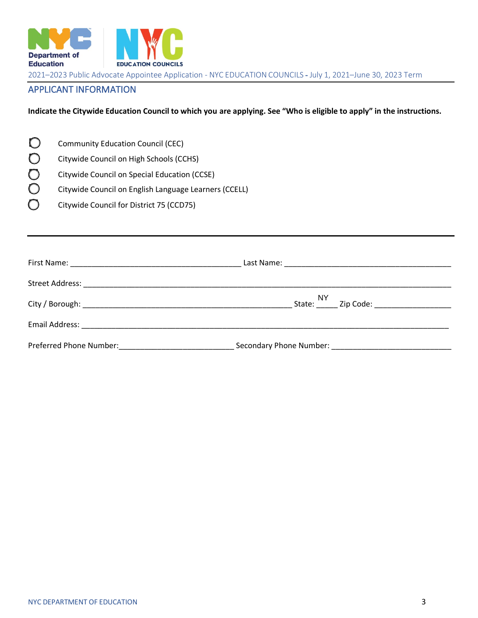

## APPLICANT INFORMATION

**Indicate the Citywide Education Council to which you are applying. See "Who is eligible to apply" in the instructions.**

| $\mathbf O$ | <b>Community Education Council (CEC)</b> |
|-------------|------------------------------------------|

☐ Citywide Council on High Schools (CCHS)

☐ Citywide Council on Special Education (CCSE)

☐ Citywide Council on English Language Learners (CCELL)

☐ Citywide Council for District 75 (CCD75)

| Preferred Phone Number: | Secondary Phone Number: Name of the Contract of the Contract of the Contract of the Contract of the Contract of the Contract of the Contract of the Contract of the Contract of the Contract of the Contract of the Contract o |
|-------------------------|--------------------------------------------------------------------------------------------------------------------------------------------------------------------------------------------------------------------------------|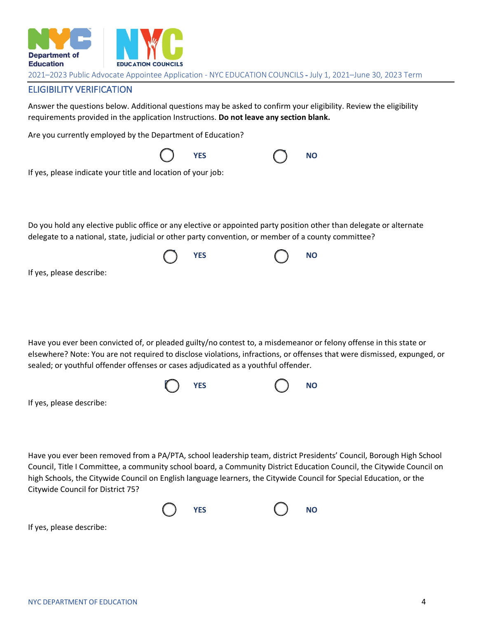

### ELIGIBILITY VERIFICATION

Answer the questions below. Additional questions may be asked to confirm your eligibility. Review the eligibility requirements provided in the application Instructions. **Do not leave any section blank.**

Are you currently employed by the Department of Education?

|                                                                                                                     | YES        | <b>NO</b>                                                                                                                |
|---------------------------------------------------------------------------------------------------------------------|------------|--------------------------------------------------------------------------------------------------------------------------|
| If yes, please indicate your title and location of your job:                                                        |            |                                                                                                                          |
|                                                                                                                     |            |                                                                                                                          |
| Do you hold any elective public office or any elective or appointed party position other than delegate or alternate |            |                                                                                                                          |
| delegate to a national, state, judicial or other party convention, or member of a county committee?                 |            |                                                                                                                          |
|                                                                                                                     | <b>YES</b> | <b>NO</b>                                                                                                                |
| If yes, please describe:                                                                                            |            |                                                                                                                          |
|                                                                                                                     |            |                                                                                                                          |
|                                                                                                                     |            |                                                                                                                          |
|                                                                                                                     |            |                                                                                                                          |
| Have you ever been convicted of, or pleaded guilty/no contest to, a misdemeanor or felony offense in this state or  |            | elsewhere? Note: You are not required to disclose violations, infractions, or offenses that were dismissed, expunged, or |
| sealed; or youthful offender offenses or cases adjudicated as a youthful offender.                                  |            |                                                                                                                          |
|                                                                                                                     | <b>YES</b> | <b>NO</b>                                                                                                                |
| If yes, please describe:                                                                                            |            |                                                                                                                          |
|                                                                                                                     |            |                                                                                                                          |

Have you ever been removed from a PA/PTA, school leadership team, district Presidents' Council, Borough High School Council, Title I Committee, a community school board, a Community District Education Council, the Citywide Council on high Schools, the Citywide Council on English language learners, the Citywide Council for Special Education, or the Citywide Council for District 75?



If yes, please describe: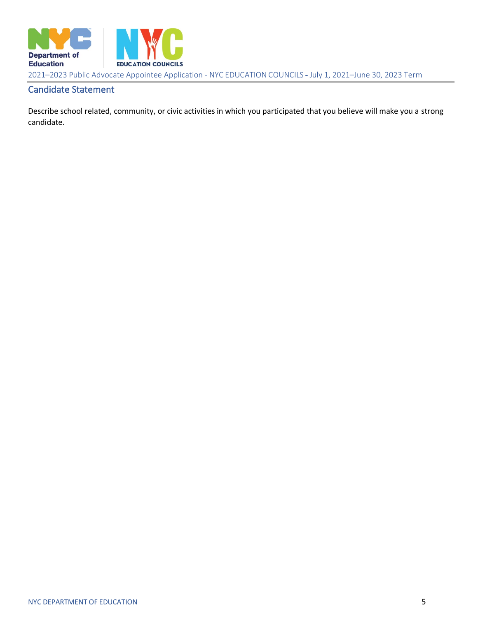

## Candidate Statement

Describe school related, community, or civic activities in which you participated that you believe will make you a strong candidate.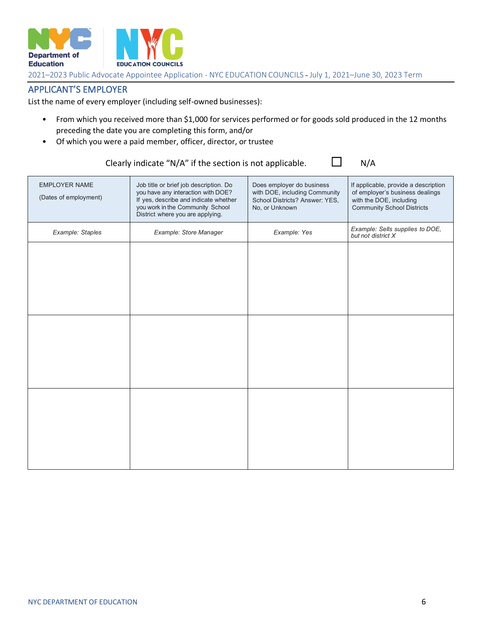

## APPLICANT'S EMPLOYER

List the name of every employer (including self-owned businesses):

- From which you received more than \$1,000 for services performed or for goods sold produced in the 12 months preceding the date you are completing this form, and/or
- Of which you were a paid member, officer, director, or trustee

## Clearly indicate "N/A" if the section is not applicable.  $\Box$  N/A

| <b>EMPLOYER NAME</b><br>(Dates of employment) | Job title or brief job description. Do<br>you have any interaction with DOE?<br>If yes, describe and indicate whether<br>you work in the Community School<br>District where you are applying. | Does employer do business<br>with DOE, including Community<br>School Districts? Answer: YES,<br>No, or Unknown | If applicable, provide a description<br>of employer's business dealings<br>with the DOE, including<br><b>Community School Districts</b> |
|-----------------------------------------------|-----------------------------------------------------------------------------------------------------------------------------------------------------------------------------------------------|----------------------------------------------------------------------------------------------------------------|-----------------------------------------------------------------------------------------------------------------------------------------|
| Example: Staples                              | Example: Store Manager                                                                                                                                                                        | Example: Yes                                                                                                   | Example: Sells supplies to DOE,<br>but not district X                                                                                   |
|                                               |                                                                                                                                                                                               |                                                                                                                |                                                                                                                                         |
|                                               |                                                                                                                                                                                               |                                                                                                                |                                                                                                                                         |
|                                               |                                                                                                                                                                                               |                                                                                                                |                                                                                                                                         |
|                                               |                                                                                                                                                                                               |                                                                                                                |                                                                                                                                         |
|                                               |                                                                                                                                                                                               |                                                                                                                |                                                                                                                                         |
|                                               |                                                                                                                                                                                               |                                                                                                                |                                                                                                                                         |
|                                               |                                                                                                                                                                                               |                                                                                                                |                                                                                                                                         |
|                                               |                                                                                                                                                                                               |                                                                                                                |                                                                                                                                         |
|                                               |                                                                                                                                                                                               |                                                                                                                |                                                                                                                                         |
|                                               |                                                                                                                                                                                               |                                                                                                                |                                                                                                                                         |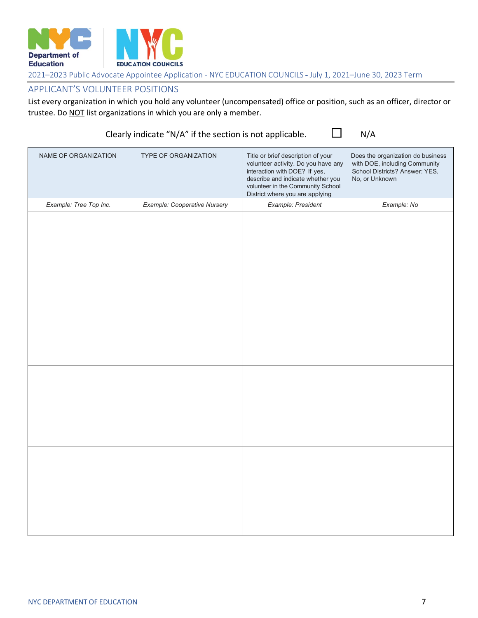

## APPLICANT'S VOLUNTEER POSITIONS

List every organization in which you hold any volunteer (uncompensated) office or position, such as an officer, director or trustee. Do NOT list organizations in which you are only a member.

## Clearly indicate "N/A" if the section is not applicable.  $\Box$  N/A

| NAME OF ORGANIZATION   | TYPE OF ORGANIZATION         | Title or brief description of your<br>volunteer activity. Do you have any<br>interaction with DOE? If yes,<br>describe and indicate whether you<br>volunteer in the Community School<br>District where you are applying | Does the organization do business<br>with DOE, including Community<br>School Districts? Answer: YES,<br>No, or Unknown |
|------------------------|------------------------------|-------------------------------------------------------------------------------------------------------------------------------------------------------------------------------------------------------------------------|------------------------------------------------------------------------------------------------------------------------|
| Example: Tree Top Inc. | Example: Cooperative Nursery | Example: President                                                                                                                                                                                                      | Example: No                                                                                                            |
|                        |                              |                                                                                                                                                                                                                         |                                                                                                                        |
|                        |                              |                                                                                                                                                                                                                         |                                                                                                                        |
|                        |                              |                                                                                                                                                                                                                         |                                                                                                                        |
|                        |                              |                                                                                                                                                                                                                         |                                                                                                                        |
|                        |                              |                                                                                                                                                                                                                         |                                                                                                                        |